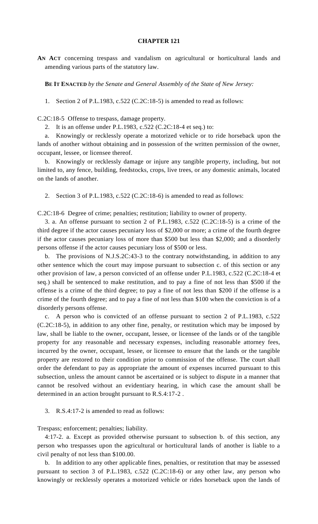## **CHAPTER 121**

**AN ACT** concerning trespass and vandalism on agricultural or horticultural lands and amending various parts of the statutory law.

**BE IT ENACTED** *by the Senate and General Assembly of the State of New Jersey:*

1. Section 2 of P.L.1983, c.522 (C.2C:18-5) is amended to read as follows:

C.2C:18-5 Offense to trespass, damage property.

2. It is an offense under P.L.1983, c.522 (C.2C:18-4 et seq.) to:

a. Knowingly or recklessly operate a motorized vehicle or to ride horseback upon the lands of another without obtaining and in possession of the written permission of the owner, occupant, lessee, or licensee thereof.

b. Knowingly or recklessly damage or injure any tangible property, including, but not limited to, any fence, building, feedstocks, crops, live trees, or any domestic animals, located on the lands of another.

2. Section 3 of P.L.1983, c.522 (C.2C:18-6) is amended to read as follows:

C.2C:18-6 Degree of crime; penalties; restitution; liability to owner of property.

3. a. An offense pursuant to section 2 of P.L.1983, c.522 (C.2C:18-5) is a crime of the third degree if the actor causes pecuniary loss of \$2,000 or more; a crime of the fourth degree if the actor causes pecuniary loss of more than \$500 but less than \$2,000; and a disorderly persons offense if the actor causes pecuniary loss of \$500 or less.

b. The provisions of N.J.S.2C:43-3 to the contrary notwithstanding, in addition to any other sentence which the court may impose pursuant to subsection c. of this section or any other provision of law, a person convicted of an offense under P.L.1983, c.522 (C.2C:18-4 et seq.) shall be sentenced to make restitution, and to pay a fine of not less than \$500 if the offense is a crime of the third degree; to pay a fine of not less than \$200 if the offense is a crime of the fourth degree; and to pay a fine of not less than \$100 when the conviction is of a disorderly persons offense.

c. A person who is convicted of an offense pursuant to section 2 of P.L.1983, c.522 (C.2C:18-5), in addition to any other fine, penalty, or restitution which may be imposed by law, shall be liable to the owner, occupant, lessee, or licensee of the lands or of the tangible property for any reasonable and necessary expenses, including reasonable attorney fees, incurred by the owner, occupant, lessee, or licensee to ensure that the lands or the tangible property are restored to their condition prior to commission of the offense. The court shall order the defendant to pay as appropriate the amount of expenses incurred pursuant to this subsection, unless the amount cannot be ascertained or is subject to dispute in a manner that cannot be resolved without an evidentiary hearing, in which case the amount shall be determined in an action brought pursuant to R.S.4:17-2 .

3. R.S.4:17-2 is amended to read as follows:

Trespass; enforcement; penalties; liability.

4:17-2. a. Except as provided otherwise pursuant to subsection b. of this section, any person who trespasses upon the agricultural or horticultural lands of another is liable to a civil penalty of not less than \$100.00.

b. In addition to any other applicable fines, penalties, or restitution that may be assessed pursuant to section 3 of P.L.1983, c.522 (C.2C:18-6) or any other law, any person who knowingly or recklessly operates a motorized vehicle or rides horseback upon the lands of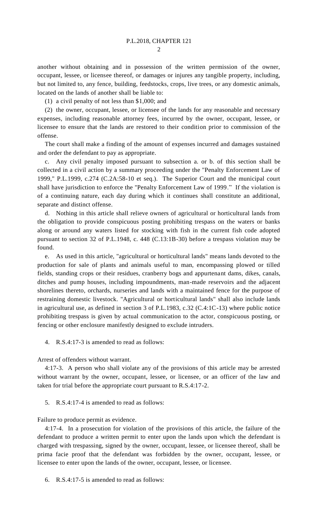another without obtaining and in possession of the written permission of the owner, occupant, lessee, or licensee thereof, or damages or injures any tangible property, including, but not limited to, any fence, building, feedstocks, crops, live trees, or any domestic animals, located on the lands of another shall be liable to:

(1) a civil penalty of not less than \$1,000; and

(2) the owner, occupant, lessee, or licensee of the lands for any reasonable and necessary expenses, including reasonable attorney fees, incurred by the owner, occupant, lessee, or licensee to ensure that the lands are restored to their condition prior to commission of the offense.

The court shall make a finding of the amount of expenses incurred and damages sustained and order the defendant to pay as appropriate.

c. Any civil penalty imposed pursuant to subsection a. or b. of this section shall be collected in a civil action by a summary proceeding under the "Penalty Enforcement Law of 1999," P.L.1999, c.274 (C.2A:58-10 et seq.). The Superior Court and the municipal court shall have jurisdiction to enforce the "Penalty Enforcement Law of 1999." If the violation is of a continuing nature, each day during which it continues shall constitute an additional, separate and distinct offense.

d. Nothing in this article shall relieve owners of agricultural or horticultural lands from the obligation to provide conspicuous posting prohibiting trespass on the waters or banks along or around any waters listed for stocking with fish in the current fish code adopted pursuant to section 32 of P.L.1948, c. 448 (C.13:1B-30) before a trespass violation may be found.

e. As used in this article, "agricultural or horticultural lands" means lands devoted to the production for sale of plants and animals useful to man, encompassing plowed or tilled fields, standing crops or their residues, cranberry bogs and appurtenant dams, dikes, canals, ditches and pump houses, including impoundments, man-made reservoirs and the adjacent shorelines thereto, orchards, nurseries and lands with a maintained fence for the purpose of restraining domestic livestock. "Agricultural or horticultural lands" shall also include lands in agricultural use, as defined in section 3 of P.L.1983, c.32 (C.4:1C-13) where public notice prohibiting trespass is given by actual communication to the actor, conspicuous posting, or fencing or other enclosure manifestly designed to exclude intruders.

4. R.S.4:17-3 is amended to read as follows:

Arrest of offenders without warrant.

4:17-3. A person who shall violate any of the provisions of this article may be arrested without warrant by the owner, occupant, lessee, or licensee, or an officer of the law and taken for trial before the appropriate court pursuant to R.S.4:17-2.

5. R.S.4:17-4 is amended to read as follows:

Failure to produce permit as evidence.

4:17-4. In a prosecution for violation of the provisions of this article, the failure of the defendant to produce a written permit to enter upon the lands upon which the defendant is charged with trespassing, signed by the owner, occupant, lessee, or licensee thereof, shall be prima facie proof that the defendant was forbidden by the owner, occupant, lessee, or licensee to enter upon the lands of the owner, occupant, lessee, or licensee.

6. R.S.4:17-5 is amended to read as follows: